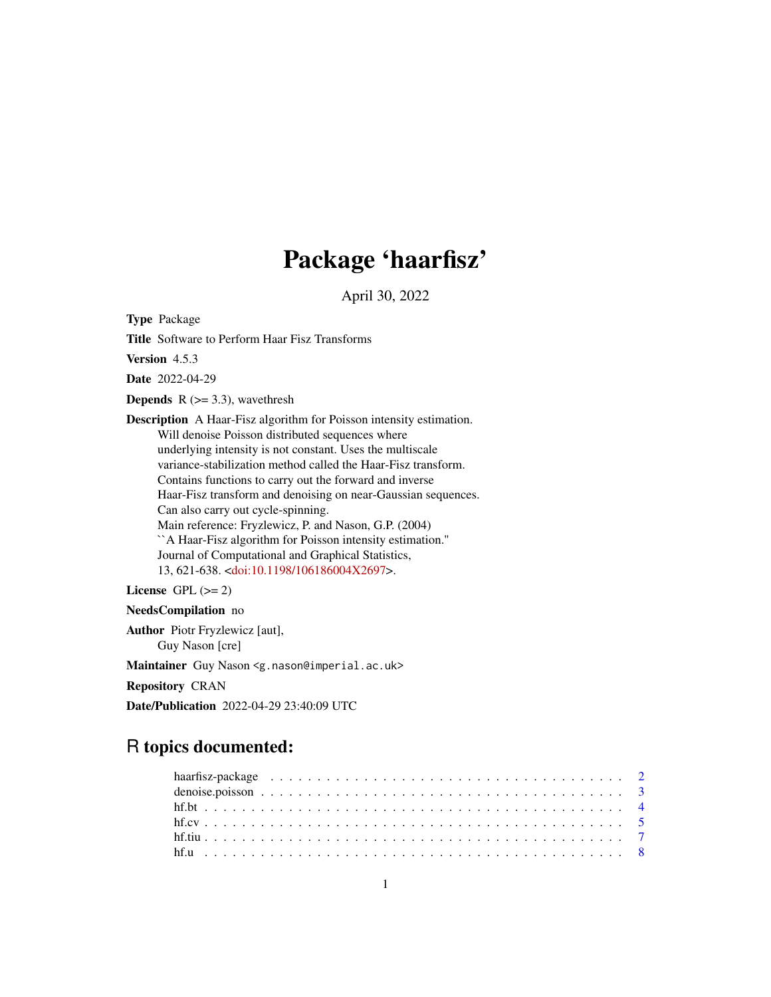# Package 'haarfisz'

April 30, 2022

<span id="page-0-0"></span>Type Package

Title Software to Perform Haar Fisz Transforms

Version 4.5.3

Date 2022-04-29

**Depends** R  $(>= 3.3)$ , wavethresh

Description A Haar-Fisz algorithm for Poisson intensity estimation. Will denoise Poisson distributed sequences where underlying intensity is not constant. Uses the multiscale variance-stabilization method called the Haar-Fisz transform. Contains functions to carry out the forward and inverse Haar-Fisz transform and denoising on near-Gaussian sequences. Can also carry out cycle-spinning. Main reference: Fryzlewicz, P. and Nason, G.P. (2004) ``A Haar-Fisz algorithm for Poisson intensity estimation.'' Journal of Computational and Graphical Statistics, 13, 621-638. [<doi:10.1198/106186004X2697>](https://doi.org/10.1198/106186004X2697).

License GPL  $(>= 2)$ 

NeedsCompilation no Author Piotr Fryzlewicz [aut], Guy Nason [cre] Maintainer Guy Nason <g.nason@imperial.ac.uk> Repository CRAN Date/Publication 2022-04-29 23:40:09 UTC

# R topics documented: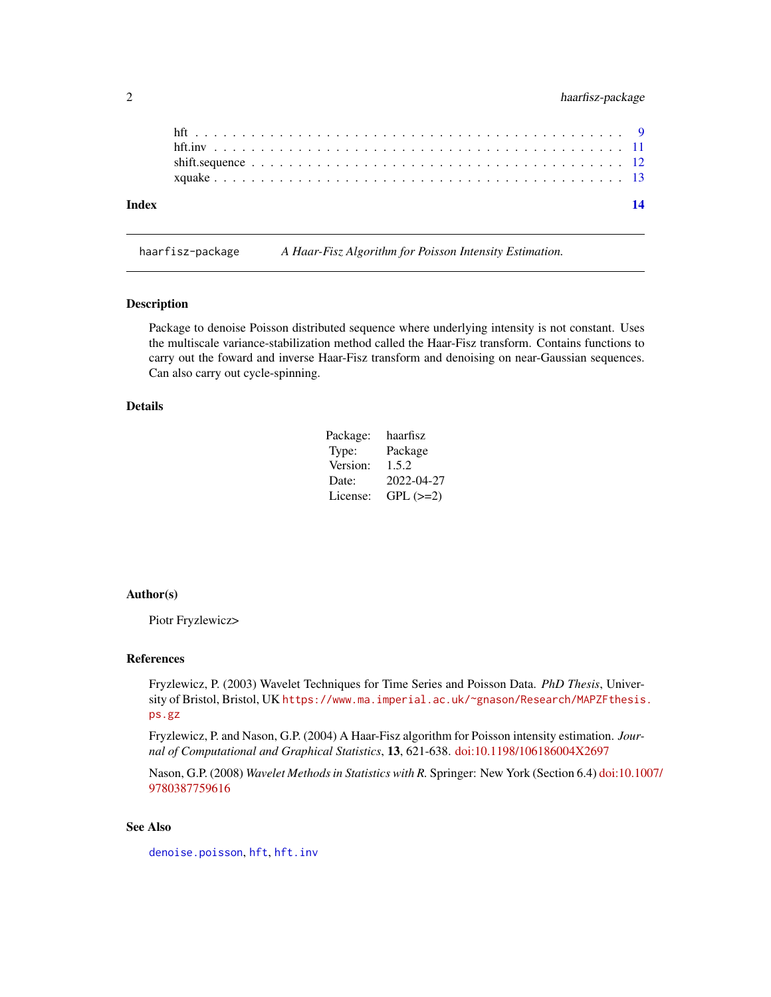<span id="page-1-0"></span>

| Index |  |  |  |  |  |  |  |  |  |  |  |  |  |  |  |  |  | 14 |
|-------|--|--|--|--|--|--|--|--|--|--|--|--|--|--|--|--|--|----|
|       |  |  |  |  |  |  |  |  |  |  |  |  |  |  |  |  |  |    |
|       |  |  |  |  |  |  |  |  |  |  |  |  |  |  |  |  |  |    |
|       |  |  |  |  |  |  |  |  |  |  |  |  |  |  |  |  |  |    |
|       |  |  |  |  |  |  |  |  |  |  |  |  |  |  |  |  |  |    |

haarfisz-package *A Haar-Fisz Algorithm for Poisson Intensity Estimation.*

# Description

Package to denoise Poisson distributed sequence where underlying intensity is not constant. Uses the multiscale variance-stabilization method called the Haar-Fisz transform. Contains functions to carry out the foward and inverse Haar-Fisz transform and denoising on near-Gaussian sequences. Can also carry out cycle-spinning.

# Details

| Package: | haarfisz   |
|----------|------------|
| Type:    | Package    |
| Version: | 1.5.2      |
| Date:    | 2022-04-27 |
| License: | $GPL (=2)$ |

#### Author(s)

Piotr Fryzlewicz>

# References

Fryzlewicz, P. (2003) Wavelet Techniques for Time Series and Poisson Data. *PhD Thesis*, University of Bristol, Bristol, UK [https://www.ma.imperial.ac.uk/~gnason/Research/MAPZFthesis](https://www.ma.imperial.ac.uk/~gnason/Research/MAPZFthesis.ps.gz). [ps.gz](https://www.ma.imperial.ac.uk/~gnason/Research/MAPZFthesis.ps.gz)

Fryzlewicz, P. and Nason, G.P. (2004) A Haar-Fisz algorithm for Poisson intensity estimation. *Journal of Computational and Graphical Statistics*, 13, 621-638. [doi:10.1198/106186004X2697](https://doi.org/10.1198/106186004X2697)

Nason, G.P. (2008) *Wavelet Methods in Statistics with R.* Springer: New York (Section 6.4) [doi:10.10](https://doi.org/10.1007/978-0-387-75961-6)07/ [9780387759616](https://doi.org/10.1007/978-0-387-75961-6)

# See Also

[denoise.poisson](#page-2-1), [hft](#page-8-1), [hft.inv](#page-10-1)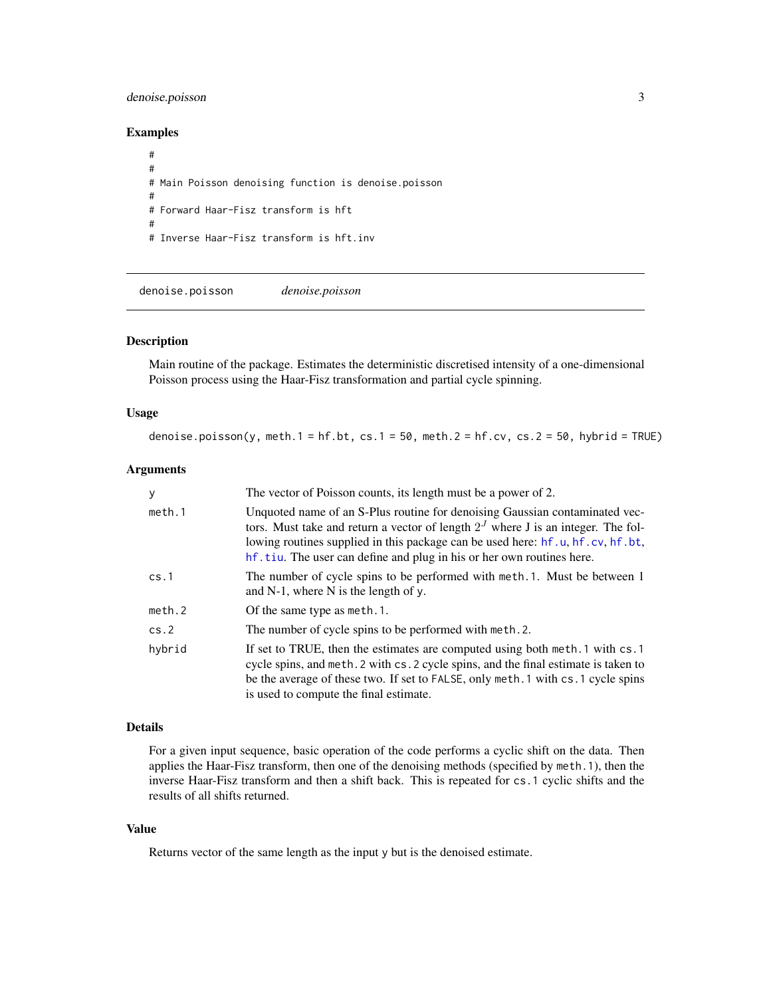# <span id="page-2-0"></span>denoise.poisson 3

# Examples

```
#
#
# Main Poisson denoising function is denoise.poisson
#
# Forward Haar-Fisz transform is hft
#
# Inverse Haar-Fisz transform is hft.inv
```
<span id="page-2-1"></span>denoise.poisson *denoise.poisson*

#### Description

Main routine of the package. Estimates the deterministic discretised intensity of a one-dimensional Poisson process using the Haar-Fisz transformation and partial cycle spinning.

#### Usage

```
denoise.poisson(y, meth.1 = hf.bt, cs.1 = 50, meth.2 = hf.cv, cs.2 = 50, hybrid = TRUE)
```
#### **Arguments**

| y      | The vector of Poisson counts, its length must be a power of 2.                                                                                                                                                                                                                                                               |
|--------|------------------------------------------------------------------------------------------------------------------------------------------------------------------------------------------------------------------------------------------------------------------------------------------------------------------------------|
| meth.1 | Unquoted name of an S-Plus routine for denoising Gaussian contaminated vec-<br>tors. Must take and return a vector of length $2J$ where J is an integer. The fol-<br>lowing routines supplied in this package can be used here: hf.u, hf.cv, hf.bt,<br>hf.tiu. The user can define and plug in his or her own routines here. |
| cs.1   | The number of cycle spins to be performed with meth. 1. Must be between 1<br>and $N-1$ , where $N$ is the length of y.                                                                                                                                                                                                       |
| meth.2 | Of the same type as meth. 1.                                                                                                                                                                                                                                                                                                 |
| cs.2   | The number of cycle spins to be performed with meth. 2.                                                                                                                                                                                                                                                                      |
| hybrid | If set to TRUE, then the estimates are computed using both meth. 1 with cs. 1<br>cycle spins, and meth. 2 with cs. 2 cycle spins, and the final estimate is taken to<br>be the average of these two. If set to FALSE, only meth. 1 with cs. 1 cycle spins<br>is used to compute the final estimate.                          |

# Details

For a given input sequence, basic operation of the code performs a cyclic shift on the data. Then applies the Haar-Fisz transform, then one of the denoising methods (specified by meth.1), then the inverse Haar-Fisz transform and then a shift back. This is repeated for cs.1 cyclic shifts and the results of all shifts returned.

# Value

Returns vector of the same length as the input y but is the denoised estimate.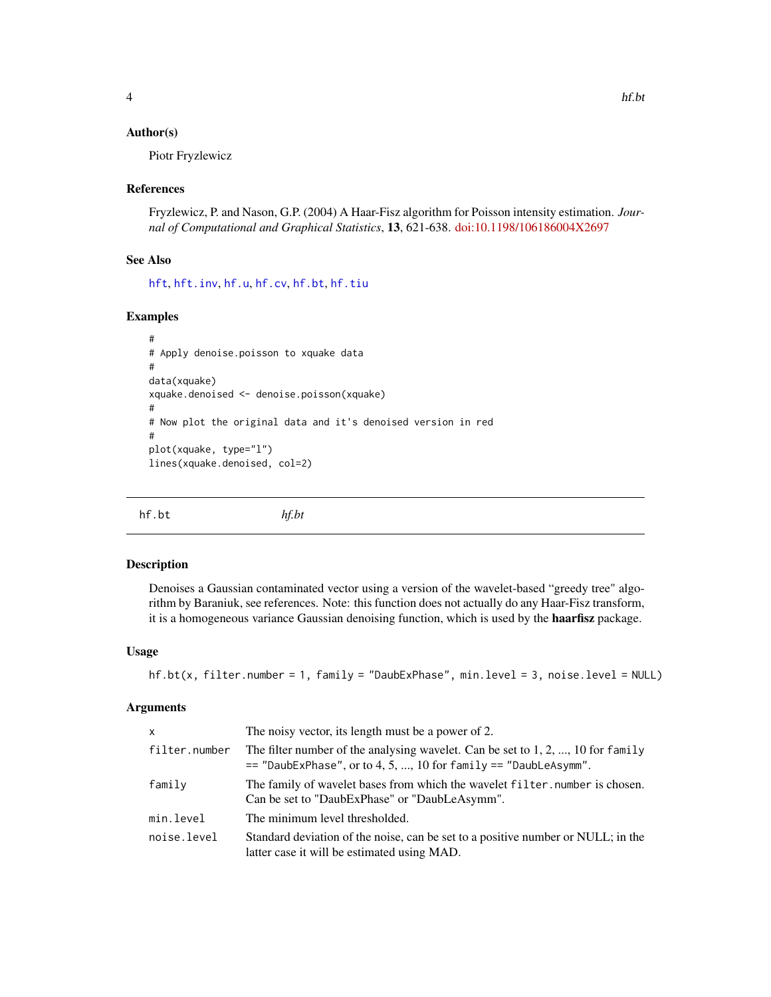### <span id="page-3-0"></span>Author(s)

Piotr Fryzlewicz

#### References

Fryzlewicz, P. and Nason, G.P. (2004) A Haar-Fisz algorithm for Poisson intensity estimation. *Journal of Computational and Graphical Statistics*, 13, 621-638. [doi:10.1198/106186004X2697](https://doi.org/10.1198/106186004X2697)

# See Also

[hft](#page-8-1), [hft.inv](#page-10-1), [hf.u](#page-7-1), [hf.cv](#page-4-1), [hf.bt](#page-3-1), [hf.tiu](#page-6-1)

# Examples

```
#
# Apply denoise.poisson to xquake data
#
data(xquake)
xquake.denoised <- denoise.poisson(xquake)
#
# Now plot the original data and it's denoised version in red
#
plot(xquake, type="l")
lines(xquake.denoised, col=2)
```
<span id="page-3-1"></span>hf.bt *hf.bt*

#### Description

Denoises a Gaussian contaminated vector using a version of the wavelet-based "greedy tree" algorithm by Baraniuk, see references. Note: this function does not actually do any Haar-Fisz transform, it is a homogeneous variance Gaussian denoising function, which is used by the haarfisz package.

# Usage

```
hf.bt(x, filter.number = 1, family = "DaubExPhase", min.level = 3, noise.level = NULL)
```
#### Arguments

| X             | The noisy vector, its length must be a power of 2.                                                                                                       |
|---------------|----------------------------------------------------------------------------------------------------------------------------------------------------------|
| filter.number | The filter number of the analysing wavelet. Can be set to $1, 2, , 10$ for family<br>$==$ "DaubExPhase", or to 4, 5, , 10 for family $==$ "DaubLeAsymm". |
| family        | The family of wavelet bases from which the wavelet filter, number is chosen.<br>Can be set to "DaubExPhase" or "DaubLeAsymm".                            |
| min.level     | The minimum level thresholded.                                                                                                                           |
| noise.level   | Standard deviation of the noise, can be set to a positive number or NULL; in the<br>latter case it will be estimated using MAD.                          |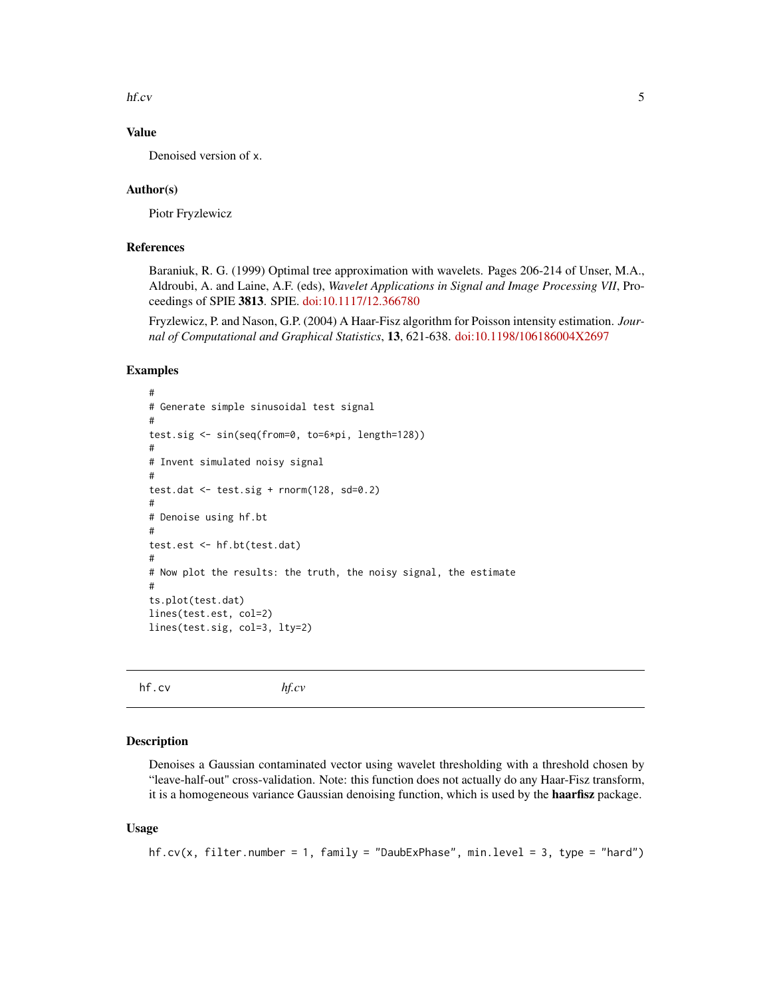<span id="page-4-0"></span>hf.cv 5

# Value

Denoised version of x.

#### Author(s)

Piotr Fryzlewicz

# References

Baraniuk, R. G. (1999) Optimal tree approximation with wavelets. Pages 206-214 of Unser, M.A., Aldroubi, A. and Laine, A.F. (eds), *Wavelet Applications in Signal and Image Processing VII*, Proceedings of SPIE 3813. SPIE. [doi:10.1117/12.366780](https://doi.org/10.1117/12.366780)

Fryzlewicz, P. and Nason, G.P. (2004) A Haar-Fisz algorithm for Poisson intensity estimation. *Journal of Computational and Graphical Statistics*, 13, 621-638. [doi:10.1198/106186004X2697](https://doi.org/10.1198/106186004X2697)

#### Examples

```
#
# Generate simple sinusoidal test signal
#
test.sig <- sin(seq(from=0, to=6*pi, length=128))
#
# Invent simulated noisy signal
#
test.dat \le test.sig + rnorm(128, sd=0.2)
#
# Denoise using hf.bt
#
test.est <- hf.bt(test.dat)
#
# Now plot the results: the truth, the noisy signal, the estimate
#
ts.plot(test.dat)
lines(test.est, col=2)
lines(test.sig, col=3, lty=2)
```
<span id="page-4-1"></span>

hf.cv *hf.cv*

#### Description

Denoises a Gaussian contaminated vector using wavelet thresholding with a threshold chosen by "leave-half-out" cross-validation. Note: this function does not actually do any Haar-Fisz transform, it is a homogeneous variance Gaussian denoising function, which is used by the haarfisz package.

#### Usage

```
hf.cv(x, filter.number = 1, family = "DaubExPhase", min.level = 3, type = "hard")
```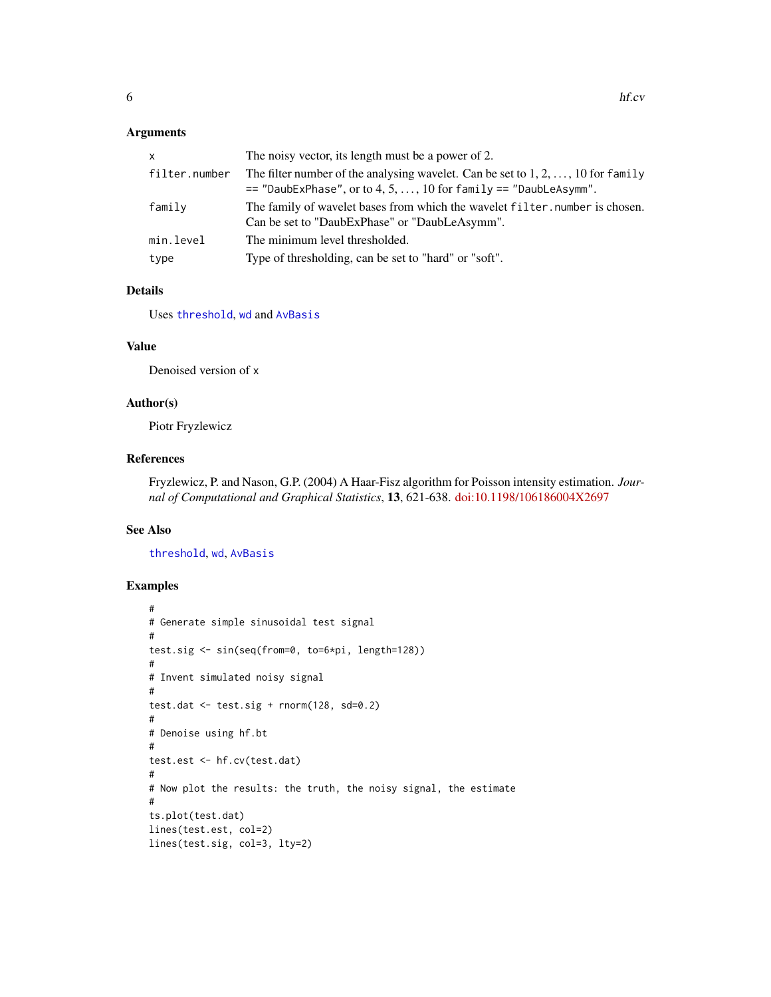#### <span id="page-5-0"></span>Arguments

| x             | The noisy vector, its length must be a power of 2.                                                                                                             |
|---------------|----------------------------------------------------------------------------------------------------------------------------------------------------------------|
| filter.number | The filter number of the analysing wavelet. Can be set to $1, 2, \ldots, 10$ for family<br>$==$ "DaubExPhase", or to 4, 5, , 10 for family $==$ "DaubLeAsymm". |
| family        | The family of wavelet bases from which the wavelet filter, number is chosen.<br>Can be set to "DaubExPhase" or "DaubLeAsymm".                                  |
| min.level     | The minimum level thresholded.                                                                                                                                 |
| type          | Type of thresholding, can be set to "hard" or "soft".                                                                                                          |

# Details

Uses [threshold](#page-0-0), [wd](#page-0-0) and [AvBasis](#page-0-0)

# Value

Denoised version of x

# Author(s)

Piotr Fryzlewicz

# References

Fryzlewicz, P. and Nason, G.P. (2004) A Haar-Fisz algorithm for Poisson intensity estimation. *Journal of Computational and Graphical Statistics*, 13, 621-638. [doi:10.1198/106186004X2697](https://doi.org/10.1198/106186004X2697)

# See Also

[threshold](#page-0-0), [wd](#page-0-0), [AvBasis](#page-0-0)

### Examples

```
#
# Generate simple sinusoidal test signal
#
test.sig <- sin(seq(from=0, to=6*pi, length=128))
#
# Invent simulated noisy signal
#
test.dat <- test.sig + rnorm(128, sd=0.2)
#
# Denoise using hf.bt
#
test.est <- hf.cv(test.dat)
#
# Now plot the results: the truth, the noisy signal, the estimate
#
ts.plot(test.dat)
lines(test.est, col=2)
lines(test.sig, col=3, lty=2)
```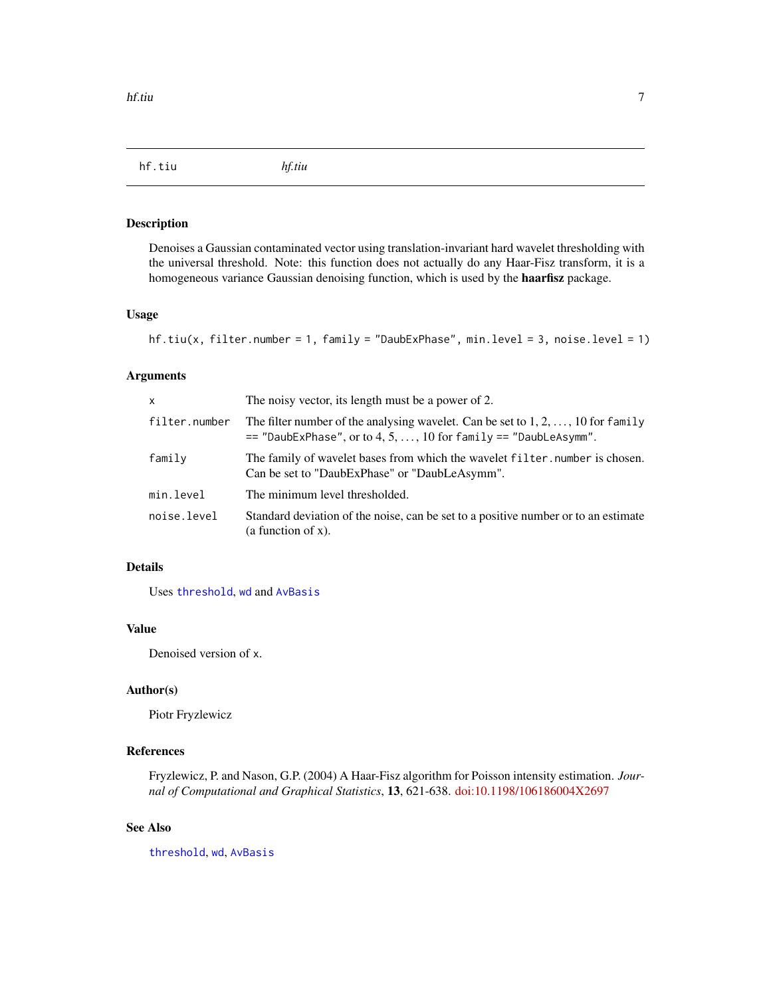<span id="page-6-1"></span><span id="page-6-0"></span>hf.tiu *hf.tiu*

# Description

Denoises a Gaussian contaminated vector using translation-invariant hard wavelet thresholding with the universal threshold. Note: this function does not actually do any Haar-Fisz transform, it is a homogeneous variance Gaussian denoising function, which is used by the **haarfisz** package.

#### Usage

```
hf.tiu(x, filter.number = 1, family = "DaubExPhase", min.level = 3, noise.level = 1)
```
# Arguments

| x             | The noisy vector, its length must be a power of 2.                                                                                                       |
|---------------|----------------------------------------------------------------------------------------------------------------------------------------------------------|
| filter.number | The filter number of the analysing wavelet. Can be set to $1, 2, , 10$ for family<br>$==$ "DaubExPhase", or to 4, 5, , 10 for family $==$ "DaubLeAsymm". |
| family        | The family of wavelet bases from which the wavelet filter, number is chosen.<br>Can be set to "DaubExPhase" or "DaubLeAsymm".                            |
| min.level     | The minimum level thresholded.                                                                                                                           |
| noise.level   | Standard deviation of the noise, can be set to a positive number or to an estimate<br>(a function of $x$ ).                                              |

# Details

Uses [threshold](#page-0-0), [wd](#page-0-0) and [AvBasis](#page-0-0)

#### Value

Denoised version of x.

#### Author(s)

Piotr Fryzlewicz

#### References

Fryzlewicz, P. and Nason, G.P. (2004) A Haar-Fisz algorithm for Poisson intensity estimation. *Journal of Computational and Graphical Statistics*, 13, 621-638. [doi:10.1198/106186004X2697](https://doi.org/10.1198/106186004X2697)

# See Also

[threshold](#page-0-0), [wd](#page-0-0), [AvBasis](#page-0-0)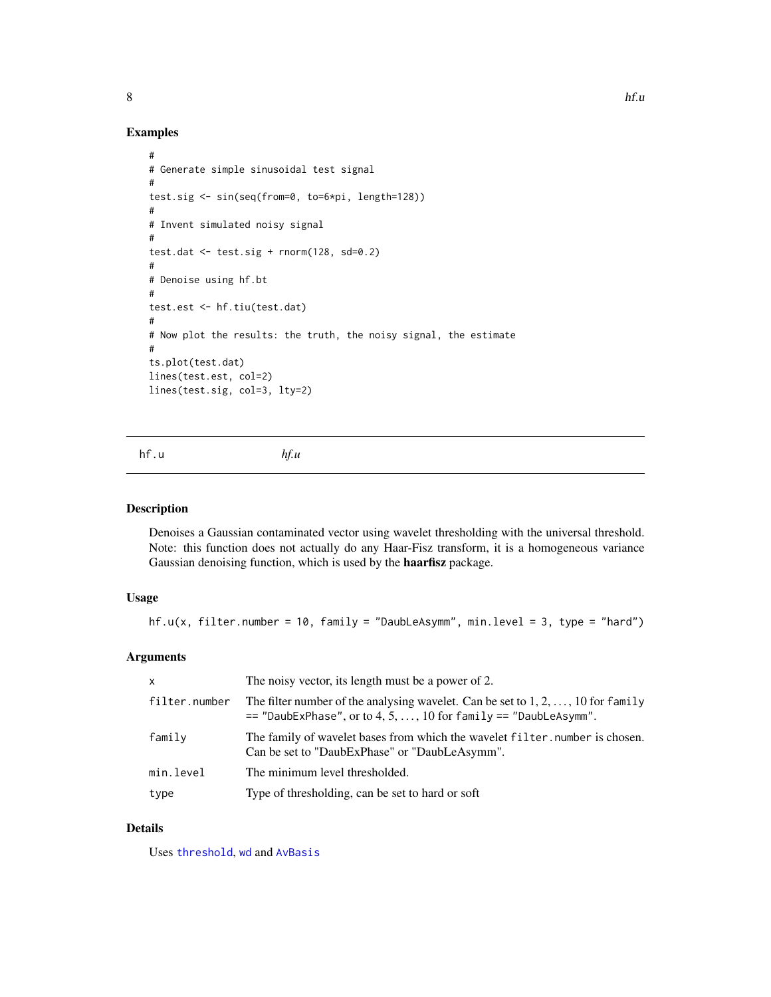<span id="page-7-0"></span>

# Examples

```
#
# Generate simple sinusoidal test signal
#
test.sig <- sin(seq(from=0, to=6*pi, length=128))
#
# Invent simulated noisy signal
#
test.dat \le test.sig + rnorm(128, sd=0.2)
#
# Denoise using hf.bt
#
test.est <- hf.tiu(test.dat)
#
# Now plot the results: the truth, the noisy signal, the estimate
#
ts.plot(test.dat)
lines(test.est, col=2)
lines(test.sig, col=3, lty=2)
```
<span id="page-7-1"></span>hf.u *hf.u*

### Description

Denoises a Gaussian contaminated vector using wavelet thresholding with the universal threshold. Note: this function does not actually do any Haar-Fisz transform, it is a homogeneous variance Gaussian denoising function, which is used by the haarfisz package.

# Usage

hf.u(x, filter.number = 10, family = "DaubLeAsymm", min.level = 3, type = "hard")

# Arguments

| X             | The noisy vector, its length must be a power of 2.                                                                                                             |
|---------------|----------------------------------------------------------------------------------------------------------------------------------------------------------------|
| filter.number | The filter number of the analysing wavelet. Can be set to $1, 2, \ldots, 10$ for family<br>$==$ "DaubExPhase", or to 4, 5, , 10 for family $==$ "DaubLeAsymm". |
| family        | The family of wavelet bases from which the wavelet filter, number is chosen.<br>Can be set to "DaubExPhase" or "DaubLeAsymm".                                  |
| min.level     | The minimum level thresholded.                                                                                                                                 |
| type          | Type of thresholding, can be set to hard or soft                                                                                                               |

# Details

Uses [threshold](#page-0-0), [wd](#page-0-0) and [AvBasis](#page-0-0)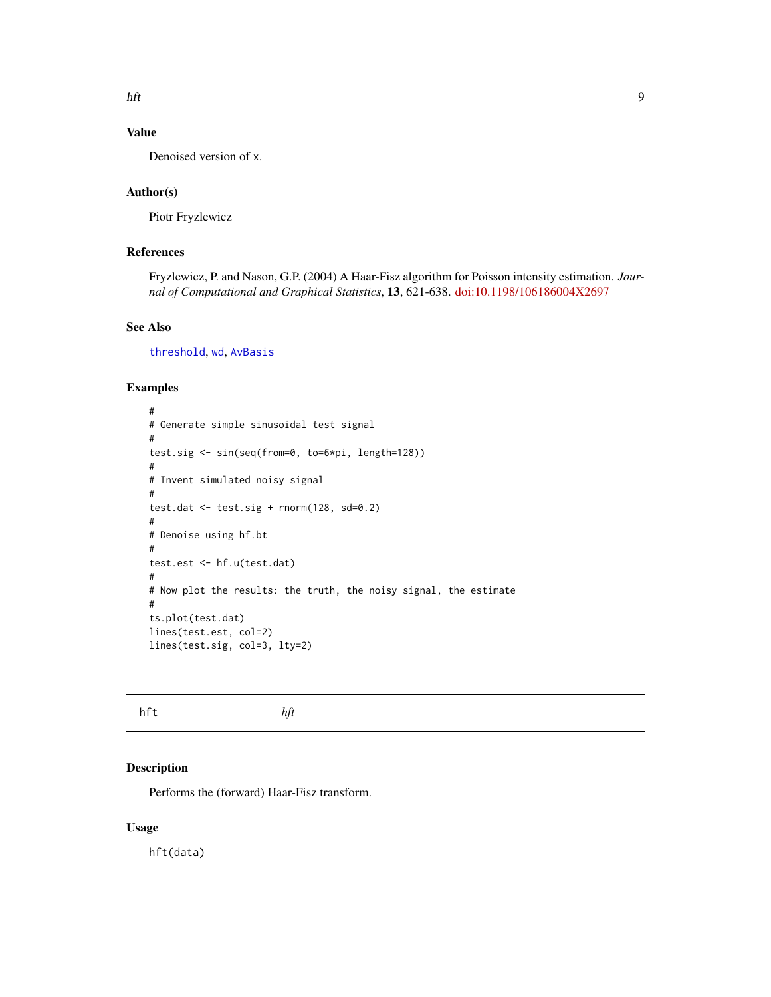<span id="page-8-0"></span>hft 9

# Value

Denoised version of x.

# Author(s)

Piotr Fryzlewicz

# References

Fryzlewicz, P. and Nason, G.P. (2004) A Haar-Fisz algorithm for Poisson intensity estimation. *Journal of Computational and Graphical Statistics*, 13, 621-638. [doi:10.1198/106186004X2697](https://doi.org/10.1198/106186004X2697)

# See Also

[threshold](#page-0-0), [wd](#page-0-0), [AvBasis](#page-0-0)

# Examples

```
#
# Generate simple sinusoidal test signal
#
test.sig <- sin(seq(from=0, to=6*pi, length=128))
#
# Invent simulated noisy signal
#
test.dat <- test.sig + rnorm(128, sd=0.2)
#
# Denoise using hf.bt
#
test.est <- hf.u(test.dat)
#
# Now plot the results: the truth, the noisy signal, the estimate
#
ts.plot(test.dat)
lines(test.est, col=2)
lines(test.sig, col=3, lty=2)
```
<span id="page-8-1"></span>hft *hft*

# Description

Performs the (forward) Haar-Fisz transform.

# Usage

hft(data)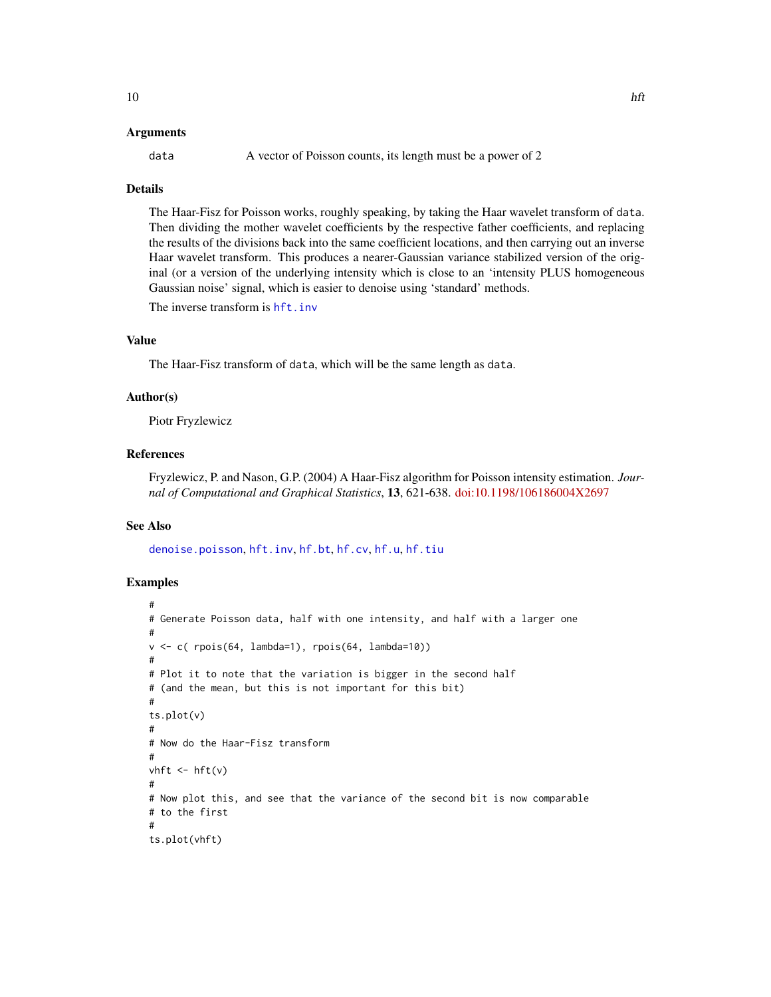### <span id="page-9-0"></span>Arguments

data A vector of Poisson counts, its length must be a power of 2

#### Details

The Haar-Fisz for Poisson works, roughly speaking, by taking the Haar wavelet transform of data. Then dividing the mother wavelet coefficients by the respective father coefficients, and replacing the results of the divisions back into the same coefficient locations, and then carrying out an inverse Haar wavelet transform. This produces a nearer-Gaussian variance stabilized version of the original (or a version of the underlying intensity which is close to an 'intensity PLUS homogeneous Gaussian noise' signal, which is easier to denoise using 'standard' methods.

The inverse transform is hft. inv

# Value

The Haar-Fisz transform of data, which will be the same length as data.

#### Author(s)

Piotr Fryzlewicz

### References

Fryzlewicz, P. and Nason, G.P. (2004) A Haar-Fisz algorithm for Poisson intensity estimation. *Journal of Computational and Graphical Statistics*, 13, 621-638. [doi:10.1198/106186004X2697](https://doi.org/10.1198/106186004X2697)

## See Also

[denoise.poisson](#page-2-1), [hft.inv](#page-10-1), [hf.bt](#page-3-1), [hf.cv](#page-4-1), [hf.u](#page-7-1), [hf.tiu](#page-6-1)

# Examples

```
#
# Generate Poisson data, half with one intensity, and half with a larger one
#
v <- c( rpois(64, lambda=1), rpois(64, lambda=10))
#
# Plot it to note that the variation is bigger in the second half
# (and the mean, but this is not important for this bit)
#
ts.plot(v)
#
# Now do the Haar-Fisz transform
#
vhft \leftarrow hft(v)#
# Now plot this, and see that the variance of the second bit is now comparable
# to the first
#
ts.plot(vhft)
```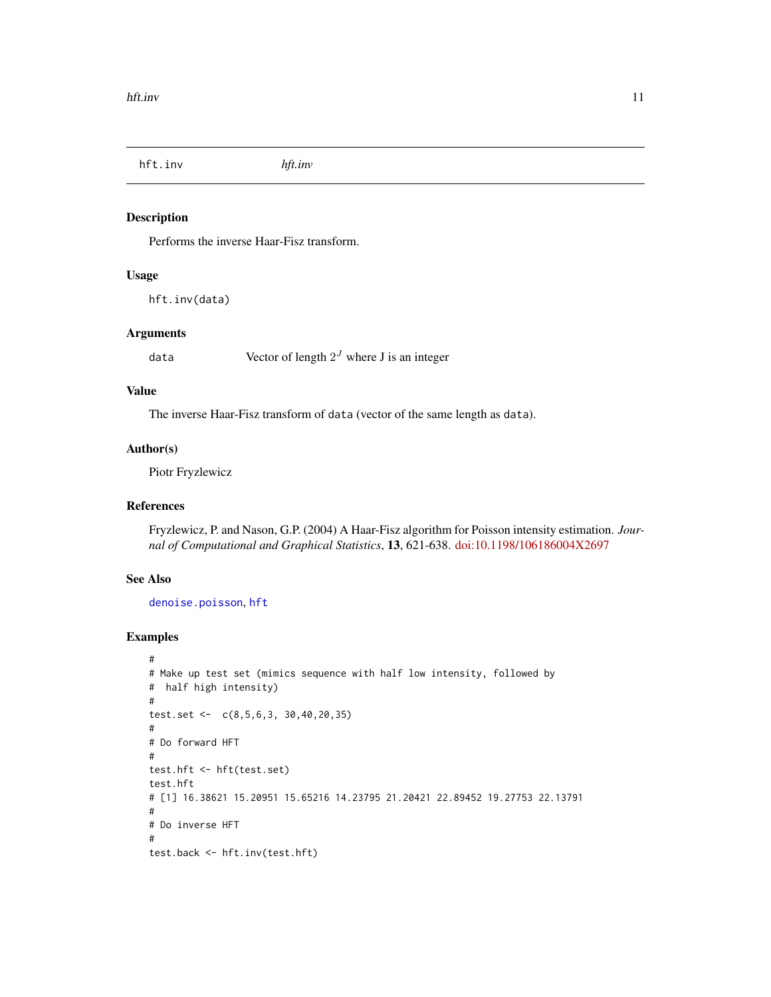<span id="page-10-1"></span><span id="page-10-0"></span>hft.inv *hft.inv*

#### Description

Performs the inverse Haar-Fisz transform.

# Usage

hft.inv(data)

# Arguments

data  $\qquad \qquad$  Vector of length  $2^J$  where J is an integer

# Value

The inverse Haar-Fisz transform of data (vector of the same length as data).

#### Author(s)

Piotr Fryzlewicz

# References

Fryzlewicz, P. and Nason, G.P. (2004) A Haar-Fisz algorithm for Poisson intensity estimation. *Journal of Computational and Graphical Statistics*, 13, 621-638. [doi:10.1198/106186004X2697](https://doi.org/10.1198/106186004X2697)

# See Also

[denoise.poisson](#page-2-1), [hft](#page-8-1)

# Examples

```
#
# Make up test set (mimics sequence with half low intensity, followed by
# half high intensity)
#
test.set <- c(8,5,6,3, 30,40,20,35)
#
# Do forward HFT
#
test.hft <- hft(test.set)
test.hft
# [1] 16.38621 15.20951 15.65216 14.23795 21.20421 22.89452 19.27753 22.13791
#
# Do inverse HFT
#
test.back <- hft.inv(test.hft)
```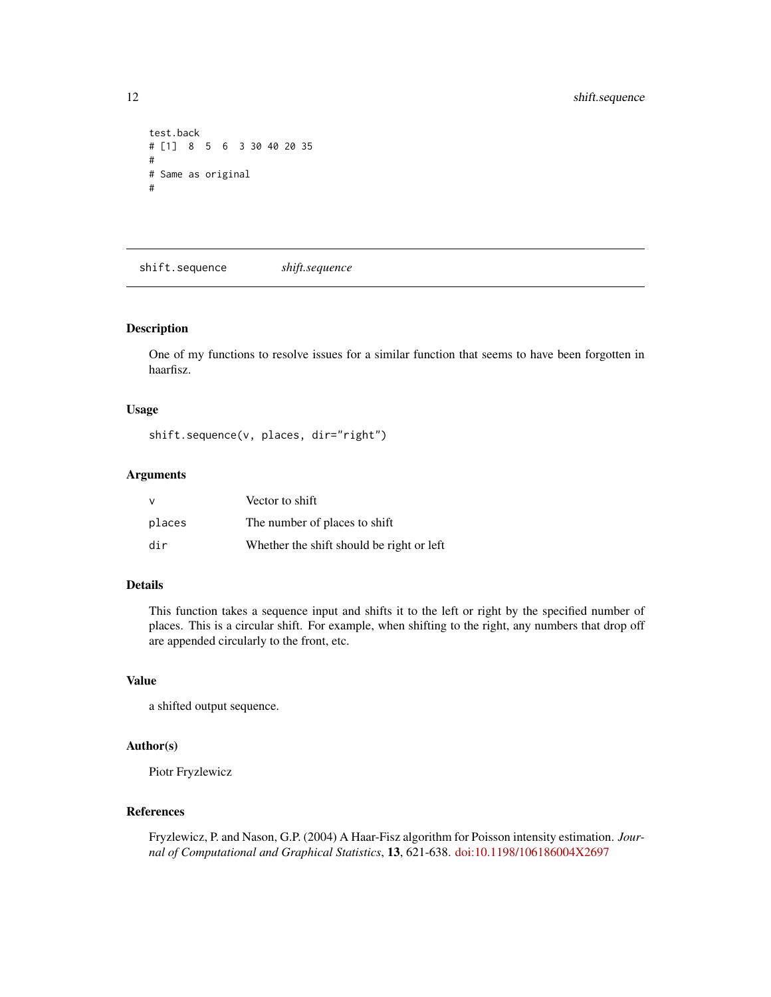```
test.back
# [1] 8 5 6 3 30 40 20 35
#
# Same as original
#
```
shift.sequence *shift.sequence*

#### Description

One of my functions to resolve issues for a similar function that seems to have been forgotten in haarfisz.

# Usage

shift.sequence(v, places, dir="right")

# Arguments

| $\vee$ | Vector to shift                           |
|--------|-------------------------------------------|
| places | The number of places to shift             |
| dir    | Whether the shift should be right or left |

#### Details

This function takes a sequence input and shifts it to the left or right by the specified number of places. This is a circular shift. For example, when shifting to the right, any numbers that drop off are appended circularly to the front, etc.

#### Value

a shifted output sequence.

# Author(s)

Piotr Fryzlewicz

# References

Fryzlewicz, P. and Nason, G.P. (2004) A Haar-Fisz algorithm for Poisson intensity estimation. *Journal of Computational and Graphical Statistics*, 13, 621-638. [doi:10.1198/106186004X2697](https://doi.org/10.1198/106186004X2697)

<span id="page-11-0"></span>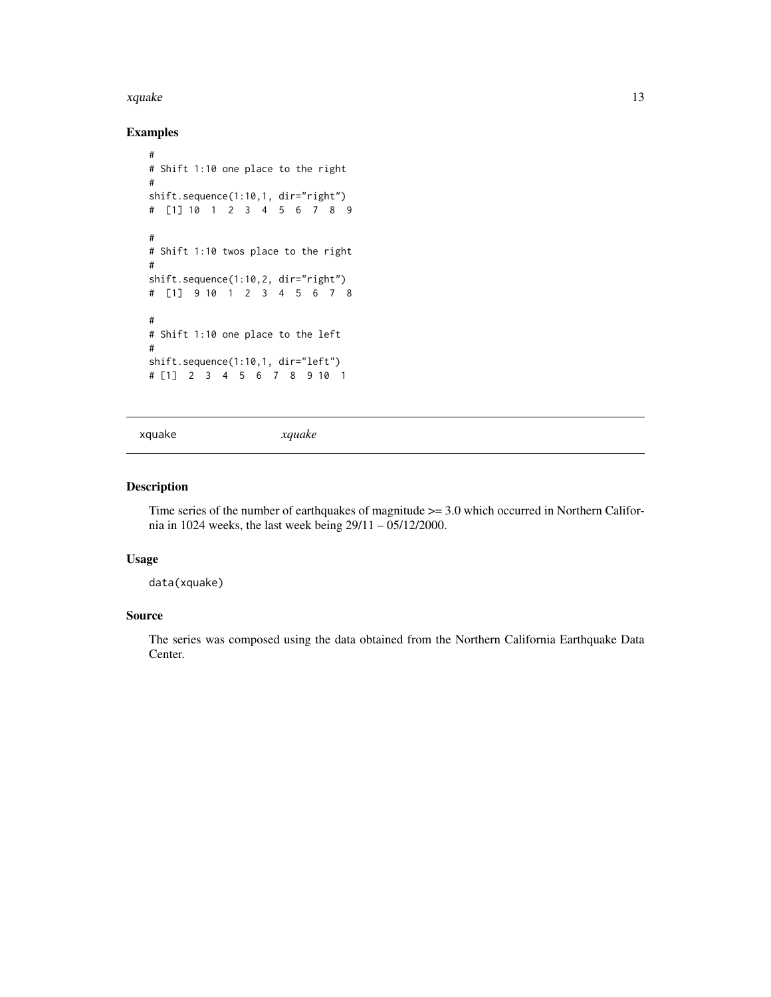#### <span id="page-12-0"></span>xquake 13

# Examples

```
#
# Shift 1:10 one place to the right
#
shift.sequence(1:10,1, dir="right")
# [1] 10 1 2 3 4 5 6 7 8 9
#
# Shift 1:10 twos place to the right
#
shift.sequence(1:10,2, dir="right")
# [1] 9 10 1 2 3 4 5 6 7 8
#
# Shift 1:10 one place to the left
#
shift.sequence(1:10,1, dir="left")
# [1] 2 3 4 5 6 7 8 9 10 1
```
xquake *xquake*

# Description

Time series of the number of earthquakes of magnitude >= 3.0 which occurred in Northern California in 1024 weeks, the last week being 29/11 – 05/12/2000.

#### Usage

data(xquake)

# Source

The series was composed using the data obtained from the Northern California Earthquake Data Center.